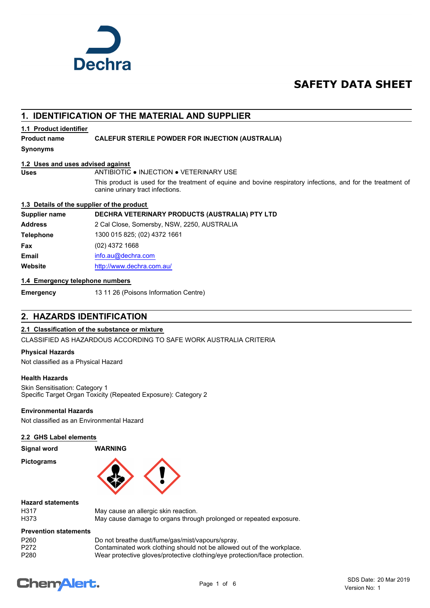

# **SAFETY DATA SHEET**

# **1. IDENTIFICATION OF THE MATERIAL AND SUPPLIER**

### **1.1 Product identifier**

### **Product name CALEFUR STERILE POWDER FOR INJECTION (AUSTRALIA)**

**Synonyms**

### **1.2 Uses and uses advised against**

### **Uses** ANTIBIOTIC ● INJECTION ● VETERINARY USE

This product is used for the treatment of equine and bovine respiratory infections, and for the treatment of canine urinary tract infections.

### **1.3 Details of the supplier of the product**

### **Supplier name DECHRA VETERINARY PRODUCTS (AUSTRALIA) PTY LTD**

**Address** 2 Cal Close, Somersby, NSW, 2250, AUSTRALIA **Telephone** 1300 015 825; (02) 4372 1661 **Fax** (02) 4372 1668 **Email** [info.au@](mailto:info.au@dechra.com)dechra.com **Website** [http://www.](http://www.dechra.com.au/)dechra.com.au/

### **1.4 Emergency telephone numbers**

**Emergency** 13 11 26 (Poisons Information Centre)

# **2. HAZARDS IDENTIFICATION**

### **2.1 Classification of the substance or mixture**

CLASSIFIED AS HAZARDOUS ACCORDING TO SAFE WORK AUSTRALIA CRITERIA

### **Physical Hazards**

Not classified as a Physical Hazard

### **Health Hazards**

Skin Sensitisation: Category 1 Specific Target Organ Toxicity (Repeated Exposure): Category 2

### **Environmental Hazards**

Not classified as an Environmental Hazard

### **2.2 GHS Label elements**

**Signal word WARNING**

**Pictograms**



### **Hazard statements**

| H317 |  |
|------|--|
| H373 |  |

May cause an allergic skin reaction. May cause damage to organs through prolonged or repeated exposure.

### **Prevention statements**

| P <sub>260</sub> | Do not breathe dust/fume/gas/mist/vapours/spray.                           |
|------------------|----------------------------------------------------------------------------|
| P272             | Contaminated work clothing should not be allowed out of the workplace.     |
| P <sub>280</sub> | Wear protective gloves/protective clothing/eye protection/face protection. |

# **ChemAlert.**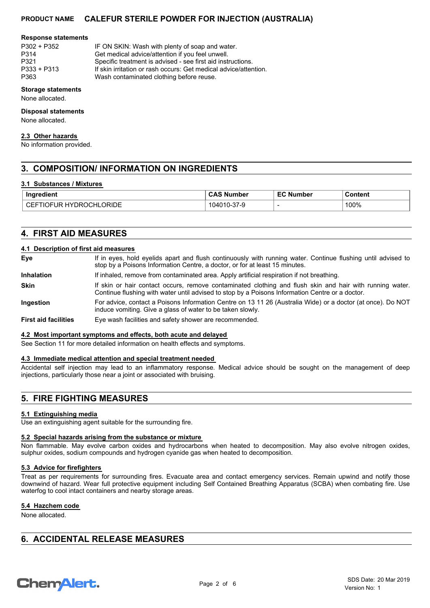#### **Response statements**

| P302 + P352   | IF ON SKIN: Wash with plenty of soap and water.       |
|---------------|-------------------------------------------------------|
| P314          | Get medical advice/attention if you feel unwell.      |
| P321          | Specific treatment is advised - see first aid instruc |
| $P333 + P313$ | If skin irritation or rash occurs: Get medical advice |
| P363          | Wash contaminated clothing before reuse.              |

dical advice/attention if you feel unwell.  $\circ$  treatment is advised - see first aid instructions.

- ritation or rash occurs: Get medical advice/attention.
	- ontaminated clothing before reuse.

## **Storage statements**

None allocated.

### **Disposal statements**

None allocated.

### **2.3 Other hazards**

No information provided.

# **3. COMPOSITION/ INFORMATION ON INGREDIENTS**

### **3.1 Substances / Mixtures**

| .<br>Ingredient                                             | <b>Number</b>          | $ \sim$<br>Number | Content                      |
|-------------------------------------------------------------|------------------------|-------------------|------------------------------|
| ORIDE<br>.,<br>эR,<br>⊷<br>м<br>юH<br>┅<br>⊣ו<br>- 11<br>◡⊏ | ىندر،<br>- ، ہ - - - - |                   | 100%<br>$\sim$ $\sim$ $\sim$ |

# **4. FIRST AID MEASURES**

### **4.1 Description of first aid measures**

| Eye                         | If in eyes, hold eyelids apart and flush continuously with running water. Continue flushing until advised to<br>stop by a Poisons Information Centre, a doctor, or for at least 15 minutes.                 |  |  |
|-----------------------------|-------------------------------------------------------------------------------------------------------------------------------------------------------------------------------------------------------------|--|--|
| <b>Inhalation</b>           | If inhaled, remove from contaminated area. Apply artificial respiration if not breathing.                                                                                                                   |  |  |
| <b>Skin</b>                 | If skin or hair contact occurs, remove contaminated clothing and flush skin and hair with running water.<br>Continue flushing with water until advised to stop by a Poisons Information Centre or a doctor. |  |  |
| Ingestion                   | For advice, contact a Poisons Information Centre on 13 11 26 (Australia Wide) or a doctor (at once). Do NOT<br>induce vomiting. Give a glass of water to be taken slowly.                                   |  |  |
| <b>First aid facilities</b> | Eye wash facilities and safety shower are recommended.                                                                                                                                                      |  |  |

### **4.2 Most important symptoms and effects, both acute and delayed**

See Section 11 for more detailed information on health effects and symptoms.

### **4.3 Immediate medical attention and special treatment needed**

Accidental self injection may lead to an inflammatory response. Medical advice should be sought on the management of deep injections, particularly those near a joint or associated with bruising.

# **5. FIRE FIGHTING MEASURES**

### **5.1 Extinguishing media**

Use an extinguishing agent suitable for the surrounding fire.

### **5.2 Special hazards arising from the substance or mixture**

Non flammable. May evolve carbon oxides and hydrocarbons when heated to decomposition. May also evolve nitrogen oxides, sulphur oxides, sodium compounds and hydrogen cyanide gas when heated to decomposition.

### **5.3 Advice for firefighters**

Treat as per requirements for surrounding fires. Evacuate area and contact emergency services. Remain upwind and notify those downwind of hazard. Wear full protective equipment including Self Contained Breathing Apparatus (SCBA) when combating fire. Use waterfog to cool intact containers and nearby storage areas.

### **5.4 Hazchem code**

None allocated.

# **6. ACCIDENTAL RELEASE MEASURES**

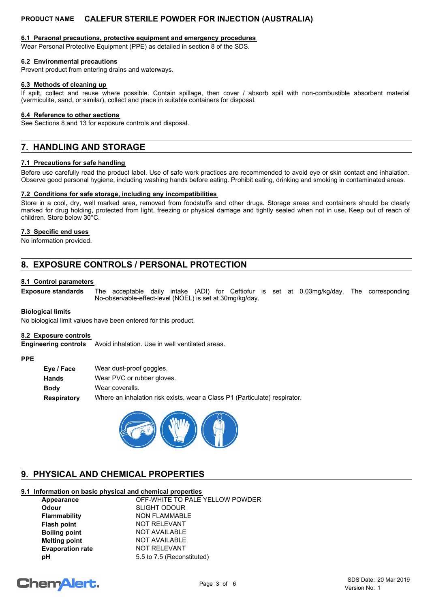### **6.1 Personal precautions, protective equipment and emergency procedures**

Wear Personal Protective Equipment (PPE) as detailed in section 8 of the SDS.

### **6.2 Environmental precautions**

Prevent product from entering drains and waterways.

### **6.3 Methods of cleaning up**

If spilt, collect and reuse where possible. Contain spillage, then cover / absorb spill with non-combustible absorbent material (vermiculite, sand, or similar), collect and place in suitable containers for disposal.

### **6.4 Reference to other sections**

See Sections 8 and 13 for exposure controls and disposal.

# **7. HANDLING AND STORAGE**

### **7.1 Precautions for safe handling**

Before use carefully read the product label. Use of safe work practices are recommended to avoid eye or skin contact and inhalation. Observe good personal hygiene, including washing hands before eating. Prohibit eating, drinking and smoking in contaminated areas.

### **7.2 Conditions for safe storage, including any incompatibilities**

Store in a cool, dry, well marked area, removed from foodstuffs and other drugs. Storage areas and containers should be clearly marked for drug holding, protected from light, freezing or physical damage and tightly sealed when not in use. Keep out of reach of children. Store below 30°C.

### **7.3 Specific end uses**

No information provided.

# **8. EXPOSURE CONTROLS / PERSONAL PROTECTION**

### **8.1 Control parameters**

The acceptable daily intake (ADI) for Ceftiofur is set at 0.03mg/kg/day. The corresponding No-observable-effect-level (NOEL) is set at 30mg/kg/day. **Exposure standards**

### **Biological limits**

No biological limit values have been entered for this product.

### **8.2 Exposure controls**

**Engineering controls** Avoid inhalation. Use in well ventilated areas.

### **PPE**

| Eye / Face  | Wear dust-proof goggles.                                                   |
|-------------|----------------------------------------------------------------------------|
| Hands       | Wear PVC or rubber gloves.                                                 |
| <b>Body</b> | Wear coveralls.                                                            |
| Respiratory | Where an inhalation risk exists, wear a Class P1 (Particulate) respirator. |



# **9. PHYSICAL AND CHEMICAL PROPERTIES**

### **9.1 Information on basic physical and chemical properties**

| Appearance              | OFF-WHITE TO PALE YELLOW POWDER |
|-------------------------|---------------------------------|
| Odour                   | <b>SLIGHT ODOUR</b>             |
| Flammability            | NON FLAMMABLE                   |
| Flash point             | NOT RELEVANT                    |
| <b>Boiling point</b>    | <b>NOT AVAILABLE</b>            |
| <b>Melting point</b>    | NOT AVAILABLE                   |
| <b>Evaporation rate</b> | <b>NOT RELEVANT</b>             |
| pН                      | 5.5 to 7.5 (Reconstituted)      |

# **ChemAlert.**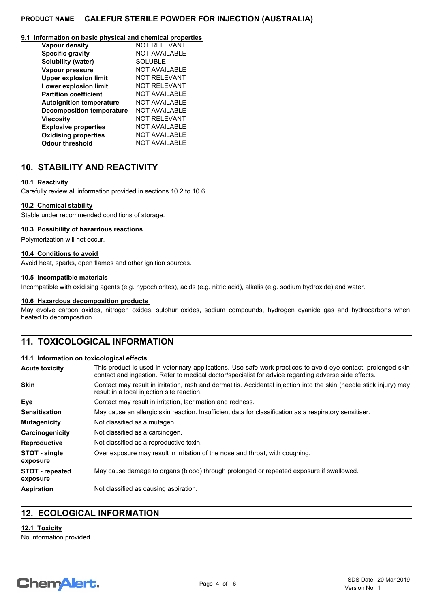### **9.1 Information on basic physical and chemical properties**

| <b>Vapour density</b>            | <b>NOT RELEVANT</b>  |
|----------------------------------|----------------------|
| <b>Specific gravity</b>          | <b>NOT AVAILABLE</b> |
| Solubility (water)               | <b>SOLUBLE</b>       |
| Vapour pressure                  | <b>NOT AVAILABLE</b> |
| <b>Upper explosion limit</b>     | NOT REI EVANT        |
| Lower explosion limit            | <b>NOT RELEVANT</b>  |
| <b>Partition coefficient</b>     | NOT AVAILABLE        |
| <b>Autoignition temperature</b>  | <b>NOT AVAILABLE</b> |
| <b>Decomposition temperature</b> | NOT AVAILABLE        |
| <b>Viscosity</b>                 | NOT REI EVANT        |
| <b>Explosive properties</b>      | NOT AVAILABLE        |
| <b>Oxidising properties</b>      | <b>NOT AVAILABLE</b> |
| Odour threshold                  | <b>NOT AVAILABLE</b> |

# **10. STABILITY AND REACTIVITY**

### **10.1 Reactivity**

Carefully review all information provided in sections 10.2 to 10.6.

### **10.2 Chemical stability**

Stable under recommended conditions of storage.

### **10.3 Possibility of hazardous reactions**

Polymerization will not occur.

### **10.4 Conditions to avoid**

Avoid heat, sparks, open flames and other ignition sources.

### **10.5 Incompatible materials**

Incompatible with oxidising agents (e.g. hypochlorites), acids (e.g. nitric acid), alkalis (e.g. sodium hydroxide) and water.

### **10.6 Hazardous decomposition products**

May evolve carbon oxides, nitrogen oxides, sulphur oxides, sodium compounds, hydrogen cyanide gas and hydrocarbons when heated to decomposition.

# **11. TOXICOLOGICAL INFORMATION**

### **11.1 Information on toxicological effects**

| Acute toxicity              | This product is used in veterinary applications. Use safe work practices to avoid eye contact, prolonged skin<br>contact and ingestion. Refer to medical doctor/specialist for advice regarding adverse side effects. |  |  |
|-----------------------------|-----------------------------------------------------------------------------------------------------------------------------------------------------------------------------------------------------------------------|--|--|
| Skin                        | Contact may result in irritation, rash and dermatitis. Accidental injection into the skin (needle stick injury) may<br>result in a local injection site reaction.                                                     |  |  |
| Eye                         | Contact may result in irritation, lacrimation and redness.                                                                                                                                                            |  |  |
| Sensitisation               | May cause an allergic skin reaction. Insufficient data for classification as a respiratory sensitiser.                                                                                                                |  |  |
| Mutagenicity                | Not classified as a mutagen.                                                                                                                                                                                          |  |  |
| Carcinogenicity             | Not classified as a carcinogen.                                                                                                                                                                                       |  |  |
| Reproductive                | Not classified as a reproductive toxin.                                                                                                                                                                               |  |  |
| STOT - single<br>exposure   | Over exposure may result in irritation of the nose and throat, with coughing.                                                                                                                                         |  |  |
| STOT - repeated<br>exposure | May cause damage to organs (blood) through prolonged or repeated exposure if swallowed.                                                                                                                               |  |  |
| Aspiration                  | Not classified as causing aspiration.                                                                                                                                                                                 |  |  |

# **12. ECOLOGICAL INFORMATION**

**12.1 Toxicity** No information provided.

# **ChemAlert.**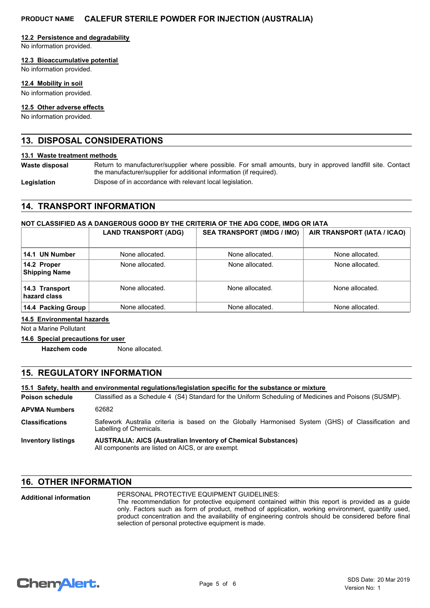### **12.2 Persistence and degradability**

No information provided.

### **12.3 Bioaccumulative potential**

No information provided.

### **12.4 Mobility in soil**

No information provided.

### **12.5 Other adverse effects**

No information provided.

# **13. DISPOSAL CONSIDERATIONS**

### **13.1 Waste treatment methods**

**Waste disposal**

Return to manufacturer/supplier where possible. For small amounts, bury in approved landfill site. Contact the manufacturer/supplier for additional information (if required).

Legislation **Dispose of in accordance with relevant local legislation.** 

# **14. TRANSPORT INFORMATION**

### **NOT CLASSIFIED AS A DANGEROUS GOOD BY THE CRITERIA OF THE ADG CODE, IMDG OR IATA**

|                                     | <b>LAND TRANSPORT (ADG)</b> | <b>SEA TRANSPORT (IMDG / IMO)</b> | AIR TRANSPORT (IATA / ICAO) |
|-------------------------------------|-----------------------------|-----------------------------------|-----------------------------|
| 14.1 UN Number                      | None allocated.             | None allocated.                   | None allocated.             |
| 14.2 Proper<br><b>Shipping Name</b> | None allocated.             | None allocated.                   | None allocated.             |
| 14.3 Transport<br>hazard class      | None allocated.             | None allocated.                   | None allocated.             |
| 14.4 Packing Group                  | None allocated.             | None allocated.                   | None allocated.             |

### **14.5 Environmental hazards**

Not a Marine Pollutant

### **14.6 Special precautions for user**

**Hazchem code** None allocated.

# **15. REGULATORY INFORMATION**

### **15.1 Safety, health and environmental regulations/legislation specific for the substance or mixture**

Classified as a Schedule 4 (S4) Standard for the Uniform Scheduling of Medicines and Poisons (SUSMP). **Poison schedule** Safework Australia criteria is based on the Globally Harmonised System (GHS) of Classification and Labelling of Chemicals. **Classifications APVMA Numbers** 62682

#### **AUSTRALIA: AICS (Australian Inventory of Chemical Substances)** All components are listed on AICS, or are exempt. **Inventory listings**

# **16. OTHER INFORMATION**

| <b>Additional information</b> | PERSONAL PROTECTIVE EQUIPMENT GUIDELINES:                                                            |
|-------------------------------|------------------------------------------------------------------------------------------------------|
|                               | The recommendation for protective equipment contained within this report is provided as a quide      |
|                               | only. Factors such as form of product, method of application, working environment, quantity used,    |
|                               | product concentration and the availability of engineering controls should be considered before final |
|                               | selection of personal protective equipment is made.                                                  |